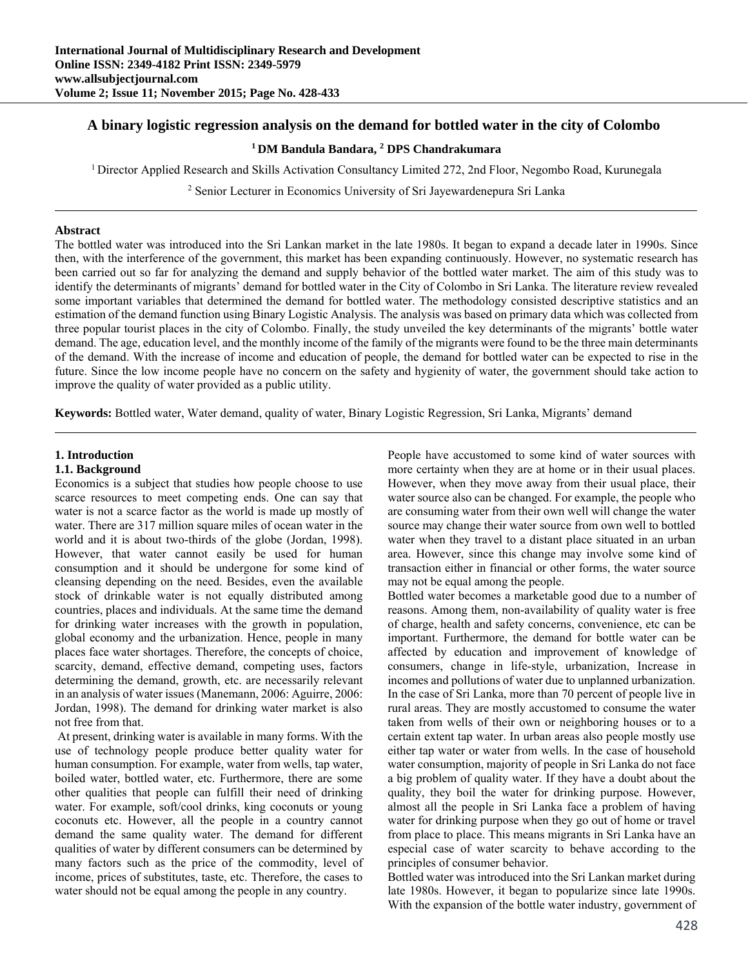# **A binary logistic regression analysis on the demand for bottled water in the city of Colombo**

## **1 DM Bandula Bandara, 2 DPS Chandrakumara**

1 Director Applied Research and Skills Activation Consultancy Limited 272, 2nd Floor, Negombo Road, Kurunegala

2 Senior Lecturer in Economics University of Sri Jayewardenepura Sri Lanka

### **Abstract**

The bottled water was introduced into the Sri Lankan market in the late 1980s. It began to expand a decade later in 1990s. Since then, with the interference of the government, this market has been expanding continuously. However, no systematic research has been carried out so far for analyzing the demand and supply behavior of the bottled water market. The aim of this study was to identify the determinants of migrants' demand for bottled water in the City of Colombo in Sri Lanka. The literature review revealed some important variables that determined the demand for bottled water. The methodology consisted descriptive statistics and an estimation of the demand function using Binary Logistic Analysis. The analysis was based on primary data which was collected from three popular tourist places in the city of Colombo. Finally, the study unveiled the key determinants of the migrants' bottle water demand. The age, education level, and the monthly income of the family of the migrants were found to be the three main determinants of the demand. With the increase of income and education of people, the demand for bottled water can be expected to rise in the future. Since the low income people have no concern on the safety and hygienity of water, the government should take action to improve the quality of water provided as a public utility.

**Keywords:** Bottled water, Water demand, quality of water, Binary Logistic Regression, Sri Lanka, Migrants' demand

## **1. Introduction**

#### **1.1. Background**

Economics is a subject that studies how people choose to use scarce resources to meet competing ends. One can say that water is not a scarce factor as the world is made up mostly of water. There are 317 million square miles of ocean water in the world and it is about two-thirds of the globe (Jordan, 1998). However, that water cannot easily be used for human consumption and it should be undergone for some kind of cleansing depending on the need. Besides, even the available stock of drinkable water is not equally distributed among countries, places and individuals. At the same time the demand for drinking water increases with the growth in population, global economy and the urbanization. Hence, people in many places face water shortages. Therefore, the concepts of choice, scarcity, demand, effective demand, competing uses, factors determining the demand, growth, etc. are necessarily relevant in an analysis of water issues (Manemann, 2006: Aguirre, 2006: Jordan, 1998). The demand for drinking water market is also not free from that.

 At present, drinking water is available in many forms. With the use of technology people produce better quality water for human consumption. For example, water from wells, tap water, boiled water, bottled water, etc. Furthermore, there are some other qualities that people can fulfill their need of drinking water. For example, soft/cool drinks, king coconuts or young coconuts etc. However, all the people in a country cannot demand the same quality water. The demand for different qualities of water by different consumers can be determined by many factors such as the price of the commodity, level of income, prices of substitutes, taste, etc. Therefore, the cases to water should not be equal among the people in any country.

People have accustomed to some kind of water sources with more certainty when they are at home or in their usual places. However, when they move away from their usual place, their water source also can be changed. For example, the people who are consuming water from their own well will change the water source may change their water source from own well to bottled water when they travel to a distant place situated in an urban area. However, since this change may involve some kind of transaction either in financial or other forms, the water source may not be equal among the people.

Bottled water becomes a marketable good due to a number of reasons. Among them, non-availability of quality water is free of charge, health and safety concerns, convenience, etc can be important. Furthermore, the demand for bottle water can be affected by education and improvement of knowledge of consumers, change in life-style, urbanization, Increase in incomes and pollutions of water due to unplanned urbanization. In the case of Sri Lanka, more than 70 percent of people live in rural areas. They are mostly accustomed to consume the water taken from wells of their own or neighboring houses or to a certain extent tap water. In urban areas also people mostly use either tap water or water from wells. In the case of household water consumption, majority of people in Sri Lanka do not face a big problem of quality water. If they have a doubt about the quality, they boil the water for drinking purpose. However, almost all the people in Sri Lanka face a problem of having water for drinking purpose when they go out of home or travel from place to place. This means migrants in Sri Lanka have an especial case of water scarcity to behave according to the principles of consumer behavior.

Bottled water was introduced into the Sri Lankan market during late 1980s. However, it began to popularize since late 1990s. With the expansion of the bottle water industry, government of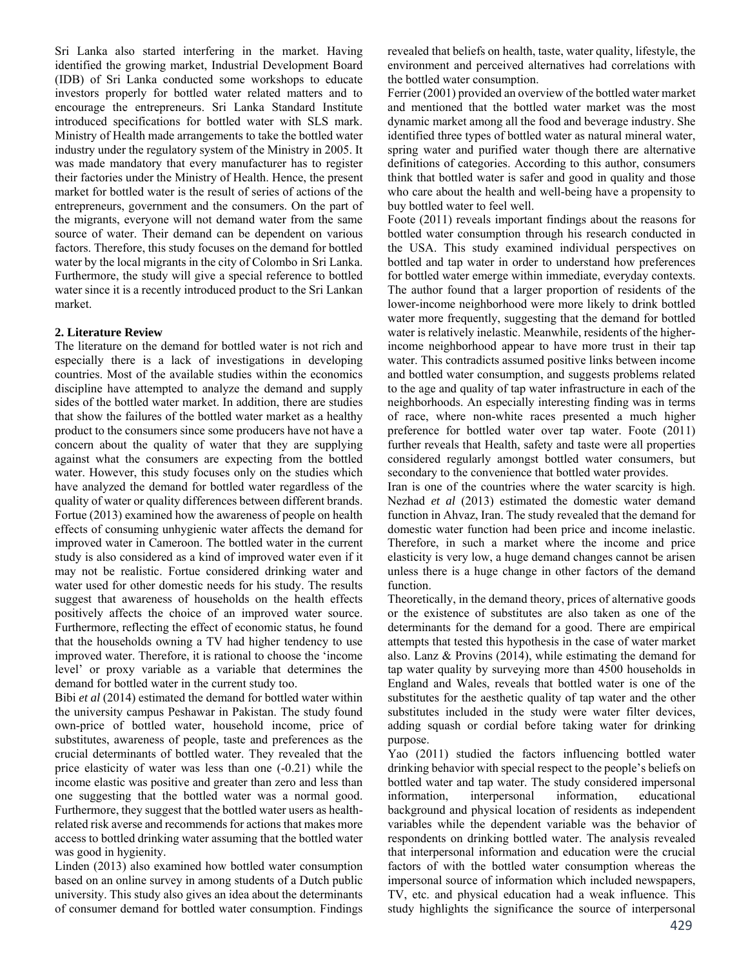Sri Lanka also started interfering in the market. Having identified the growing market, Industrial Development Board (IDB) of Sri Lanka conducted some workshops to educate investors properly for bottled water related matters and to encourage the entrepreneurs. Sri Lanka Standard Institute introduced specifications for bottled water with SLS mark. Ministry of Health made arrangements to take the bottled water industry under the regulatory system of the Ministry in 2005. It was made mandatory that every manufacturer has to register their factories under the Ministry of Health. Hence, the present market for bottled water is the result of series of actions of the entrepreneurs, government and the consumers. On the part of the migrants, everyone will not demand water from the same source of water. Their demand can be dependent on various factors. Therefore, this study focuses on the demand for bottled water by the local migrants in the city of Colombo in Sri Lanka. Furthermore, the study will give a special reference to bottled water since it is a recently introduced product to the Sri Lankan market.

## **2. Literature Review**

The literature on the demand for bottled water is not rich and especially there is a lack of investigations in developing countries. Most of the available studies within the economics discipline have attempted to analyze the demand and supply sides of the bottled water market. In addition, there are studies that show the failures of the bottled water market as a healthy product to the consumers since some producers have not have a concern about the quality of water that they are supplying against what the consumers are expecting from the bottled water. However, this study focuses only on the studies which have analyzed the demand for bottled water regardless of the quality of water or quality differences between different brands. Fortue (2013) examined how the awareness of people on health effects of consuming unhygienic water affects the demand for improved water in Cameroon. The bottled water in the current study is also considered as a kind of improved water even if it may not be realistic. Fortue considered drinking water and water used for other domestic needs for his study. The results suggest that awareness of households on the health effects positively affects the choice of an improved water source. Furthermore, reflecting the effect of economic status, he found that the households owning a TV had higher tendency to use improved water. Therefore, it is rational to choose the 'income level' or proxy variable as a variable that determines the demand for bottled water in the current study too.

Bibi *et al* (2014) estimated the demand for bottled water within the university campus Peshawar in Pakistan. The study found own-price of bottled water, household income, price of substitutes, awareness of people, taste and preferences as the crucial determinants of bottled water. They revealed that the price elasticity of water was less than one (-0.21) while the income elastic was positive and greater than zero and less than one suggesting that the bottled water was a normal good. Furthermore, they suggest that the bottled water users as healthrelated risk averse and recommends for actions that makes more access to bottled drinking water assuming that the bottled water was good in hygienity.

Linden (2013) also examined how bottled water consumption based on an online survey in among students of a Dutch public university. This study also gives an idea about the determinants of consumer demand for bottled water consumption. Findings

revealed that beliefs on health, taste, water quality, lifestyle, the environment and perceived alternatives had correlations with the bottled water consumption.

Ferrier (2001) provided an overview of the bottled water market and mentioned that the bottled water market was the most dynamic market among all the food and beverage industry. She identified three types of bottled water as natural mineral water, spring water and purified water though there are alternative definitions of categories. According to this author, consumers think that bottled water is safer and good in quality and those who care about the health and well-being have a propensity to buy bottled water to feel well.

Foote (2011) reveals important findings about the reasons for bottled water consumption through his research conducted in the USA. This study examined individual perspectives on bottled and tap water in order to understand how preferences for bottled water emerge within immediate, everyday contexts. The author found that a larger proportion of residents of the lower-income neighborhood were more likely to drink bottled water more frequently, suggesting that the demand for bottled water is relatively inelastic. Meanwhile, residents of the higherincome neighborhood appear to have more trust in their tap water. This contradicts assumed positive links between income and bottled water consumption, and suggests problems related to the age and quality of tap water infrastructure in each of the neighborhoods. An especially interesting finding was in terms of race, where non-white races presented a much higher preference for bottled water over tap water. Foote (2011) further reveals that Health, safety and taste were all properties considered regularly amongst bottled water consumers, but secondary to the convenience that bottled water provides.

Iran is one of the countries where the water scarcity is high. Nezhad *et al* (2013) estimated the domestic water demand function in Ahvaz, Iran. The study revealed that the demand for domestic water function had been price and income inelastic. Therefore, in such a market where the income and price elasticity is very low, a huge demand changes cannot be arisen unless there is a huge change in other factors of the demand function.

Theoretically, in the demand theory, prices of alternative goods or the existence of substitutes are also taken as one of the determinants for the demand for a good. There are empirical attempts that tested this hypothesis in the case of water market also. Lanz & Provins (2014), while estimating the demand for tap water quality by surveying more than 4500 households in England and Wales, reveals that bottled water is one of the substitutes for the aesthetic quality of tap water and the other substitutes included in the study were water filter devices, adding squash or cordial before taking water for drinking purpose.

Yao (2011) studied the factors influencing bottled water drinking behavior with special respect to the people's beliefs on bottled water and tap water. The study considered impersonal information, interpersonal information, educational background and physical location of residents as independent variables while the dependent variable was the behavior of respondents on drinking bottled water. The analysis revealed that interpersonal information and education were the crucial factors of with the bottled water consumption whereas the impersonal source of information which included newspapers, TV, etc. and physical education had a weak influence. This study highlights the significance the source of interpersonal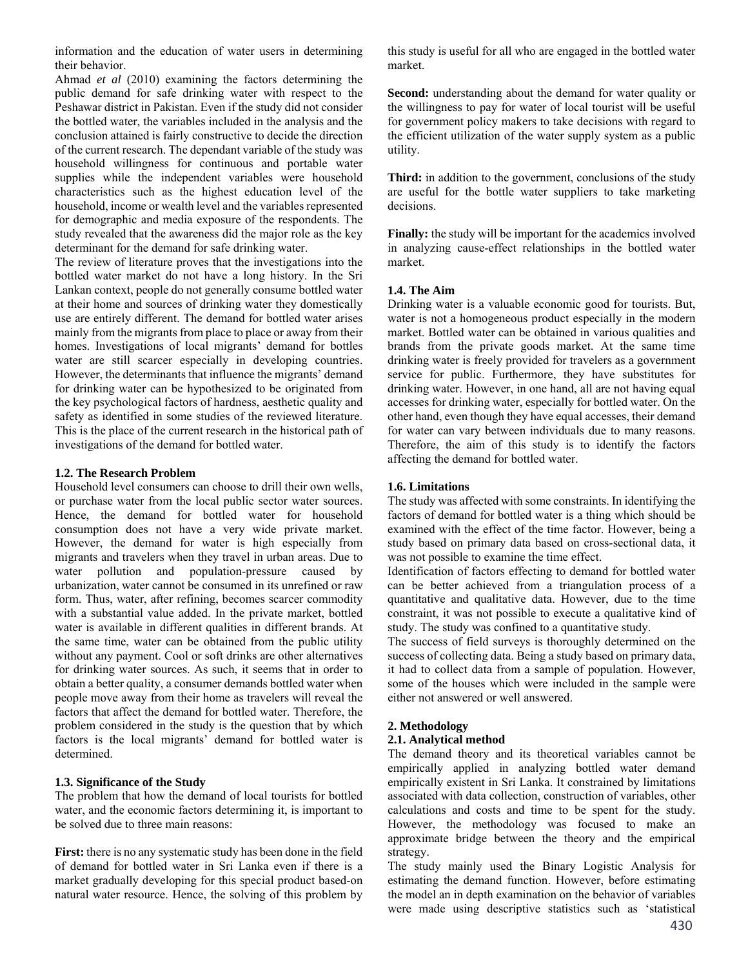information and the education of water users in determining their behavior.

Ahmad *et al* (2010) examining the factors determining the public demand for safe drinking water with respect to the Peshawar district in Pakistan. Even if the study did not consider the bottled water, the variables included in the analysis and the conclusion attained is fairly constructive to decide the direction of the current research. The dependant variable of the study was household willingness for continuous and portable water supplies while the independent variables were household characteristics such as the highest education level of the household, income or wealth level and the variables represented for demographic and media exposure of the respondents. The study revealed that the awareness did the major role as the key determinant for the demand for safe drinking water.

The review of literature proves that the investigations into the bottled water market do not have a long history. In the Sri Lankan context, people do not generally consume bottled water at their home and sources of drinking water they domestically use are entirely different. The demand for bottled water arises mainly from the migrants from place to place or away from their homes. Investigations of local migrants' demand for bottles water are still scarcer especially in developing countries. However, the determinants that influence the migrants' demand for drinking water can be hypothesized to be originated from the key psychological factors of hardness, aesthetic quality and safety as identified in some studies of the reviewed literature. This is the place of the current research in the historical path of investigations of the demand for bottled water.

## **1.2. The Research Problem**

Household level consumers can choose to drill their own wells, or purchase water from the local public sector water sources. Hence, the demand for bottled water for household consumption does not have a very wide private market. However, the demand for water is high especially from migrants and travelers when they travel in urban areas. Due to water pollution and population-pressure caused by urbanization, water cannot be consumed in its unrefined or raw form. Thus, water, after refining, becomes scarcer commodity with a substantial value added. In the private market, bottled water is available in different qualities in different brands. At the same time, water can be obtained from the public utility without any payment. Cool or soft drinks are other alternatives for drinking water sources. As such, it seems that in order to obtain a better quality, a consumer demands bottled water when people move away from their home as travelers will reveal the factors that affect the demand for bottled water. Therefore, the problem considered in the study is the question that by which factors is the local migrants' demand for bottled water is determined.

# **1.3. Significance of the Study**

The problem that how the demand of local tourists for bottled water, and the economic factors determining it, is important to be solved due to three main reasons:

**First:** there is no any systematic study has been done in the field of demand for bottled water in Sri Lanka even if there is a market gradually developing for this special product based-on natural water resource. Hence, the solving of this problem by

this study is useful for all who are engaged in the bottled water market.

**Second:** understanding about the demand for water quality or the willingness to pay for water of local tourist will be useful for government policy makers to take decisions with regard to the efficient utilization of the water supply system as a public utility.

**Third:** in addition to the government, conclusions of the study are useful for the bottle water suppliers to take marketing decisions.

**Finally:** the study will be important for the academics involved in analyzing cause-effect relationships in the bottled water market.

## **1.4. The Aim**

Drinking water is a valuable economic good for tourists. But, water is not a homogeneous product especially in the modern market. Bottled water can be obtained in various qualities and brands from the private goods market. At the same time drinking water is freely provided for travelers as a government service for public. Furthermore, they have substitutes for drinking water. However, in one hand, all are not having equal accesses for drinking water, especially for bottled water. On the other hand, even though they have equal accesses, their demand for water can vary between individuals due to many reasons. Therefore, the aim of this study is to identify the factors affecting the demand for bottled water.

## **1.6. Limitations**

The study was affected with some constraints. In identifying the factors of demand for bottled water is a thing which should be examined with the effect of the time factor. However, being a study based on primary data based on cross-sectional data, it was not possible to examine the time effect.

Identification of factors effecting to demand for bottled water can be better achieved from a triangulation process of a quantitative and qualitative data. However, due to the time constraint, it was not possible to execute a qualitative kind of study. The study was confined to a quantitative study.

The success of field surveys is thoroughly determined on the success of collecting data. Being a study based on primary data, it had to collect data from a sample of population. However, some of the houses which were included in the sample were either not answered or well answered.

## **2. Methodology**

#### **2.1. Analytical method**

The demand theory and its theoretical variables cannot be empirically applied in analyzing bottled water demand empirically existent in Sri Lanka. It constrained by limitations associated with data collection, construction of variables, other calculations and costs and time to be spent for the study. However, the methodology was focused to make an approximate bridge between the theory and the empirical strategy.

The study mainly used the Binary Logistic Analysis for estimating the demand function. However, before estimating the model an in depth examination on the behavior of variables were made using descriptive statistics such as 'statistical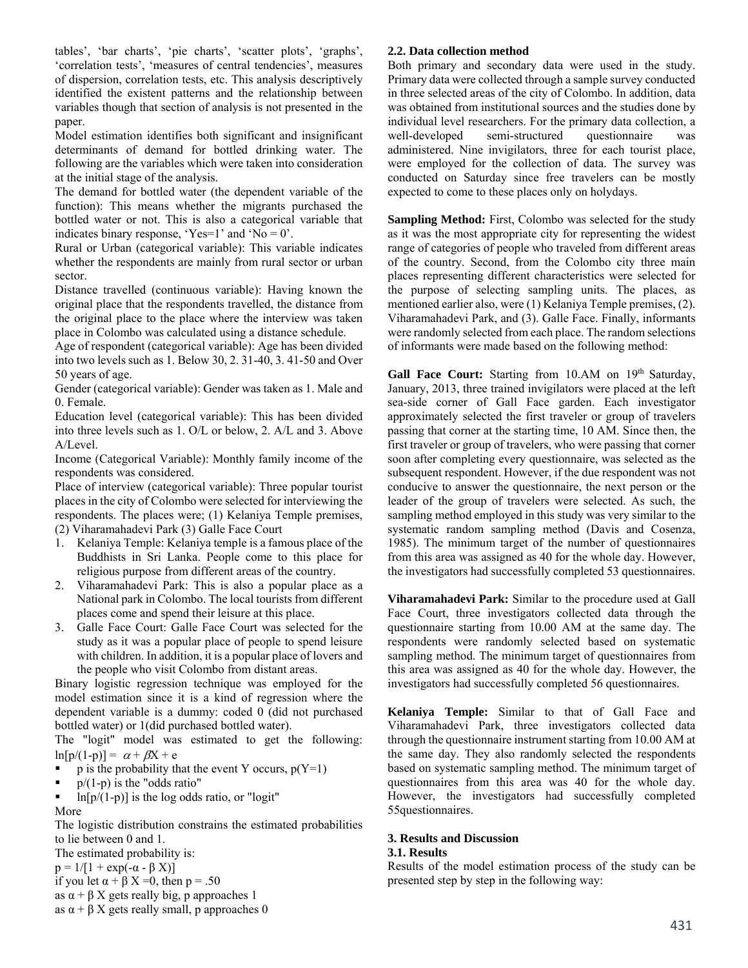tables', 'bar charts', 'pie charts', 'scatter plots', 'graphs', 'correlation tests', 'measures of central tendencies', measures of dispersion, correlation tests, etc. This analysis descriptively identified the existent patterns and the relationship between variables though that section of analysis is not presented in the paper.

Model estimation identifies both significant and insignificant determinants of demand for bottled drinking water. The following are the variables which were taken into consideration at the initial stage of the analysis.

The demand for bottled water (the dependent variable of the function): This means whether the migrants purchased the bottled water or not. This is also a categorical variable that indicates binary response, 'Yes=1' and 'No =  $0$ '.

Rural or Urban (categorical variable): This variable indicates whether the respondents are mainly from rural sector or urban sector.

Distance travelled (continuous variable): Having known the original place that the respondents travelled, the distance from the original place to the place where the interview was taken place in Colombo was calculated using a distance schedule.

Age of respondent (categorical variable): Age has been divided into two levels such as 1. Below 30, 2. 31-40, 3. 41-50 and Over 50 years of age.

Gender (categorical variable): Gender was taken as 1. Male and 0. Female.

Education level (categorical variable): This has been divided into three levels such as 1. O/L or below, 2. A/L and 3. Above A/Level.

Income (Categorical Variable): Monthly family income of the respondents was considered.

Place of interview (categorical variable): Three popular tourist places in the city of Colombo were selected for interviewing the respondents. The places were; (1) Kelaniya Temple premises, (2) Viharamahadevi Park (3) Galle Face Court

- 1. Kelaniya Temple: Kelaniya temple is a famous place of the Buddhists in Sri Lanka. People come to this place for religious purpose from different areas of the country.
- 2. Viharamahadevi Park: This is also a popular place as a National park in Colombo. The local tourists from different places come and spend their leisure at this place.
- 3. Galle Face Court: Galle Face Court was selected for the study as it was a popular place of people to spend leisure with children. In addition, it is a popular place of lovers and the people who visit Colombo from distant areas.

Binary logistic regression technique was employed for the model estimation since it is a kind of regression where the dependent variable is a dummy: coded 0 (did not purchased bottled water) or 1(did purchased bottled water).

The "logit" model was estimated to get the following:  $\ln[p/(1-p)] = \alpha + \beta X + e$ 

- p is the probability that the event Y occurs,  $p(Y=1)$
- $\bullet$  p/(1-p) is the "odds ratio"
- ln[p/(1-p)] is the log odds ratio, or "logit"

More

The logistic distribution constrains the estimated probabilities to lie between 0 and 1.

The estimated probability is:

 $p = 1/[1 + \exp(-\alpha - \beta X)]$ 

if you let  $\alpha + \beta X = 0$ , then p = .50

- as  $\alpha + \beta X$  gets really big, p approaches 1
- as  $\alpha + \beta X$  gets really small, p approaches 0

# **2.2. Data collection method**

Both primary and secondary data were used in the study. Primary data were collected through a sample survey conducted in three selected areas of the city of Colombo. In addition, data was obtained from institutional sources and the studies done by individual level researchers. For the primary data collection, a well-developed semi-structured questionnaire was administered. Nine invigilators, three for each tourist place, were employed for the collection of data. The survey was conducted on Saturday since free travelers can be mostly expected to come to these places only on holydays.

**Sampling Method:** First, Colombo was selected for the study as it was the most appropriate city for representing the widest range of categories of people who traveled from different areas of the country. Second, from the Colombo city three main places representing different characteristics were selected for the purpose of selecting sampling units. The places, as mentioned earlier also, were (1) Kelaniya Temple premises, (2). Viharamahadevi Park, and (3). Galle Face. Finally, informants were randomly selected from each place. The random selections of informants were made based on the following method:

Gall Face Court: Starting from 10.AM on 19<sup>th</sup> Saturday, January, 2013, three trained invigilators were placed at the left sea-side corner of Gall Face garden. Each investigator approximately selected the first traveler or group of travelers passing that corner at the starting time, 10 AM. Since then, the first traveler or group of travelers, who were passing that corner soon after completing every questionnaire, was selected as the subsequent respondent. However, if the due respondent was not conducive to answer the questionnaire, the next person or the leader of the group of travelers were selected. As such, the sampling method employed in this study was very similar to the systematic random sampling method (Davis and Cosenza, 1985). The minimum target of the number of questionnaires from this area was assigned as 40 for the whole day. However, the investigators had successfully completed 53 questionnaires.

**Viharamahadevi Park:** Similar to the procedure used at Gall Face Court, three investigators collected data through the questionnaire starting from 10.00 AM at the same day. The respondents were randomly selected based on systematic sampling method. The minimum target of questionnaires from this area was assigned as 40 for the whole day. However, the investigators had successfully completed 56 questionnaires.

**Kelaniya Temple:** Similar to that of Gall Face and Viharamahadevi Park, three investigators collected data through the questionnaire instrument starting from 10.00 AM at the same day. They also randomly selected the respondents based on systematic sampling method. The minimum target of questionnaires from this area was 40 for the whole day. However, the investigators had successfully completed 55questionnaires.

## **3. Results and Discussion**

# **3.1. Results**

Results of the model estimation process of the study can be presented step by step in the following way: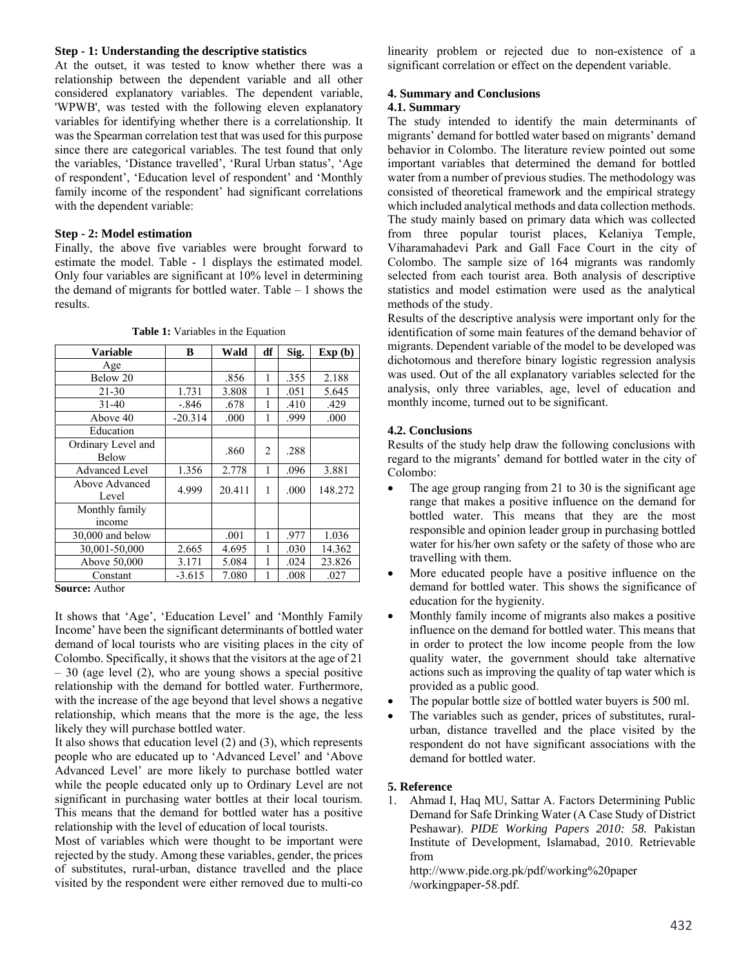#### **Step - 1: Understanding the descriptive statistics**

At the outset, it was tested to know whether there was a relationship between the dependent variable and all other considered explanatory variables. The dependent variable, 'WPWB', was tested with the following eleven explanatory variables for identifying whether there is a correlationship. It was the Spearman correlation test that was used for this purpose since there are categorical variables. The test found that only the variables, 'Distance travelled', 'Rural Urban status', 'Age of respondent', 'Education level of respondent' and 'Monthly family income of the respondent' had significant correlations with the dependent variable:

## **Step - 2: Model estimation**

Finally, the above five variables were brought forward to estimate the model. Table - 1 displays the estimated model. Only four variables are significant at 10% level in determining the demand of migrants for bottled water. Table – 1 shows the results.

| <b>Variable</b>                      | B         | Wald   | df             | Sig. | Exp(b)  |
|--------------------------------------|-----------|--------|----------------|------|---------|
| Age                                  |           |        |                |      |         |
| Below 20                             |           | .856   | 1              | .355 | 2.188   |
| $21 - 30$                            | 1.731     | 3.808  | 1              | .051 | 5.645   |
| $31 - 40$                            | $-.846$   | .678   | 1              | .410 | .429    |
| Above 40                             | $-20.314$ | .000   | 1              | .999 | .000    |
| Education                            |           |        |                |      |         |
| Ordinary Level and<br>Below          |           | .860   | $\overline{c}$ | .288 |         |
| <b>Advanced Level</b>                | 1.356     | 2.778  | 1              | .096 | 3.881   |
| Above Advanced<br>Level              | 4.999     | 20.411 | 1              | .000 | 148.272 |
| Monthly family                       |           |        |                |      |         |
| income                               |           |        |                |      |         |
| 30,000 and below                     |           | .001   | 1              | .977 | 1.036   |
| 30,001-50,000                        | 2.665     | 4.695  | 1              | .030 | 14.362  |
| Above 50,000                         | 3.171     | 5.084  | 1              | .024 | 23.826  |
| Constant<br>$\sim$<br>$\lambda = -1$ | $-3.615$  | 7.080  | 1              | .008 | .027    |

**Table 1:** Variables in the Equation

**Source:** Author

It shows that 'Age', 'Education Level' and 'Monthly Family Income' have been the significant determinants of bottled water demand of local tourists who are visiting places in the city of Colombo. Specifically, it shows that the visitors at the age of 21 – 30 (age level (2), who are young shows a special positive relationship with the demand for bottled water. Furthermore, with the increase of the age beyond that level shows a negative relationship, which means that the more is the age, the less likely they will purchase bottled water.

It also shows that education level (2) and (3), which represents people who are educated up to 'Advanced Level' and 'Above Advanced Level' are more likely to purchase bottled water while the people educated only up to Ordinary Level are not significant in purchasing water bottles at their local tourism. This means that the demand for bottled water has a positive relationship with the level of education of local tourists.

Most of variables which were thought to be important were rejected by the study. Among these variables, gender, the prices of substitutes, rural-urban, distance travelled and the place visited by the respondent were either removed due to multi-co linearity problem or rejected due to non-existence of a significant correlation or effect on the dependent variable.

#### **4. Summary and Conclusions**

# **4.1. Summary**

The study intended to identify the main determinants of migrants' demand for bottled water based on migrants' demand behavior in Colombo. The literature review pointed out some important variables that determined the demand for bottled water from a number of previous studies. The methodology was consisted of theoretical framework and the empirical strategy which included analytical methods and data collection methods. The study mainly based on primary data which was collected from three popular tourist places, Kelaniya Temple, Viharamahadevi Park and Gall Face Court in the city of Colombo. The sample size of 164 migrants was randomly selected from each tourist area. Both analysis of descriptive statistics and model estimation were used as the analytical methods of the study.

Results of the descriptive analysis were important only for the identification of some main features of the demand behavior of migrants. Dependent variable of the model to be developed was dichotomous and therefore binary logistic regression analysis was used. Out of the all explanatory variables selected for the analysis, only three variables, age, level of education and monthly income, turned out to be significant.

## **4.2. Conclusions**

Results of the study help draw the following conclusions with regard to the migrants' demand for bottled water in the city of Colombo:

- The age group ranging from 21 to 30 is the significant age range that makes a positive influence on the demand for bottled water. This means that they are the most responsible and opinion leader group in purchasing bottled water for his/her own safety or the safety of those who are travelling with them.
- More educated people have a positive influence on the demand for bottled water. This shows the significance of education for the hygienity.
- Monthly family income of migrants also makes a positive influence on the demand for bottled water. This means that in order to protect the low income people from the low quality water, the government should take alternative actions such as improving the quality of tap water which is provided as a public good.
- The popular bottle size of bottled water buyers is 500 ml.
- The variables such as gender, prices of substitutes, ruralurban, distance travelled and the place visited by the respondent do not have significant associations with the demand for bottled water.

#### **5. Reference**

1. Ahmad I, Haq MU, Sattar A. Factors Determining Public Demand for Safe Drinking Water (A Case Study of District Peshawar). *PIDE Working Papers 2010: 58.* Pakistan Institute of Development, Islamabad, 2010. Retrievable from

http://www.pide.org.pk/pdf/working%20paper /workingpaper-58.pdf.